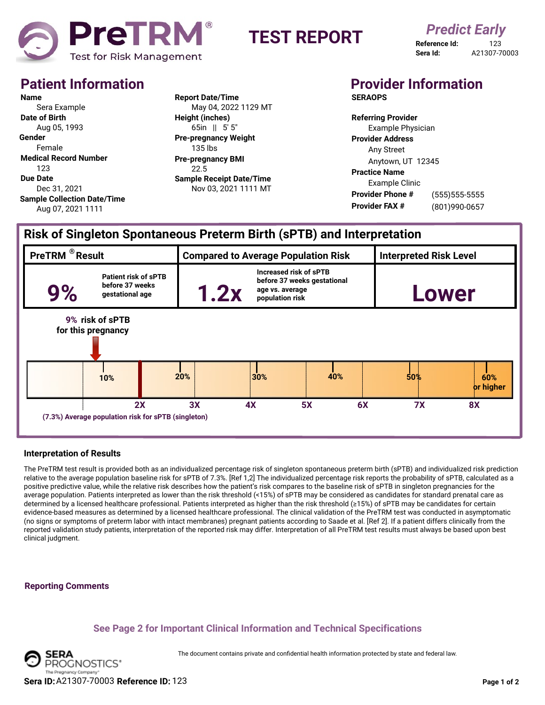

# TEST REPORT Predict Early



Aug 07, 2021 1111 Gender Sera Example Date of Birth Aug 05, 1993 Name Due Date Sample Collection Date/Time Medical Record Number 123 Female

Report Date/Time May 04, 2022 1129 MT Height (inches) Pre-pregnancy Weight 135 lbs Pre-pregnancy BMI 22.5 Sample Receipt Date/Time 65in || 5' 5" Dec 31, 2021 1111 MT

## **Patient Information Community Community Provider Information**

**SERAOPS** 

| <b>Referring Provider</b> |                  |
|---------------------------|------------------|
| <b>Example Physician</b>  |                  |
| <b>Provider Address</b>   |                  |
| <b>Any Street</b>         |                  |
| Anytown, UT 12345         |                  |
| <b>Practice Name</b>      |                  |
| Example Clinic            |                  |
| <b>Provider Phone #</b>   | $(555)$ 555-5555 |
| <b>Provider FAX #</b>     | (801)990-0657    |

#### 9% **Compared to Average Population Risk** Increased risk of sPTB before 37 weeks gestational age vs. average population risk PreTRM <sup>®</sup> Result Patient risk of sPTB before 37 weeks gestational age 1.2X Risk of Singleton Spontaneous Preterm Birth (sPTB) and Interpretation Interpreted Risk Level Lower 9% risk of sPTB  $10\%$  20% 30% 40% 50% 60% or higher (7.3%) Average population risk for sPTB (singleton) 2X 3X 4X 5X 6X 7X 8X for this pregnancy

#### Interpretation of Results

The PreTRM test result is provided both as an individualized percentage risk of singleton spontaneous preterm birth (sPTB) and individualized risk prediction relative to the average population baseline risk for sPTB of 7.3%. [Ref 1,2] The individualized percentage risk reports the probability of sPTB, calculated as a positive predictive value, while the relative risk describes how the patient's risk compares to the baseline risk of sPTB in singleton pregnancies for the average population. Patients interpreted as lower than the risk threshold (<15%) of sPTB may be considered as candidates for standard prenatal care as determined by a licensed healthcare professional. Patients interpreted as higher than the risk threshold (≥15%) of sPTB may be candidates for certain evidence-based measures as determined by a licensed healthcare professional. The clinical validation of the PreTRM test was conducted in asymptomatic (no signs or symptoms of preterm labor with intact membranes) pregnant patients according to Saade et al. [Ref 2]. If a patient differs clinically from the reported validation study patients, interpretation of the reported risk may differ. Interpretation of all PreTRM test results must always be based upon best clinical judgment.

#### Reporting Comments

### See Page 2 for Important Clinical Information and Technical Specifications



The document contains private and confidential health information protected by state and federal law.